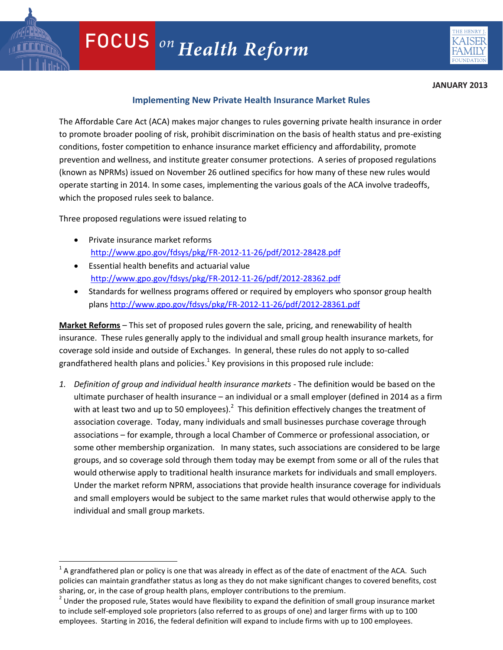## **JANUARY 2013**

## **Implementing New Private Health Insurance Market Rules**

The Affordable Care Act (ACA) makes major changes to rules governing private health insurance in order to promote broader pooling of risk, prohibit discrimination on the basis of health status and pre-existing conditions, foster competition to enhance insurance market efficiency and affordability, promote prevention and wellness, and institute greater consumer protections. A series of proposed regulations (known as NPRMs) issued on November 26 outlined specifics for how many of these new rules would operate starting in 2014. In some cases, implementing the various goals of the ACA involve tradeoffs, which the proposed rules seek to balance.

Three proposed regulations were issued relating to

- Private insurance market reforms http://www.gpo.gov/fdsys/pkg/FR-2012-11-26/pdf/2012-28428.pdf
- Essential health benefits and actuarial value http://www.gpo.gov/fdsys/pkg/FR-2012-11-26/pdf/2012-28362.pdf
- Standards for wellness programs offered or required by employers who sponsor group health plans http://www.gpo.gov/fdsys/pkg/FR-2012-11-26/pdf/2012-28361.pdf

**Market Reforms** – This set of proposed rules govern the sale, pricing, and renewability of health insurance. These rules generally apply to the individual and small group health insurance markets, for coverage sold inside and outside of Exchanges. In general, these rules do not apply to so-called grandfathered health plans and policies.<sup>1</sup> Key provisions in this proposed rule include:

*1. Definition of group and individual health insurance markets* - The definition would be based on the ultimate purchaser of health insurance – an individual or a small employer (defined in 2014 as a firm with at least two and up to 50 employees).<sup>2</sup> This definition effectively changes the treatment of association coverage. Today, many individuals and small businesses purchase coverage through associations – for example, through a local Chamber of Commerce or professional association, or some other membership organization. In many states, such associations are considered to be large groups, and so coverage sold through them today may be exempt from some or all of the rules that would otherwise apply to traditional health insurance markets for individuals and small employers. Under the market reform NPRM, associations that provide health insurance coverage for individuals and small employers would be subject to the same market rules that would otherwise apply to the individual and small group markets.

 $1A$  grandfathered plan or policy is one that was already in effect as of the date of enactment of the ACA. Such policies can maintain grandfather status as long as they do not make significant changes to covered benefits, cost

sharing, or, in the case of group health plans, employer contributions to the premium.<br><sup>2</sup> Under the proposed rule, States would have flexibility to expand the definition of small group insurance market to include self-employed sole proprietors (also referred to as groups of one) and larger firms with up to 100 ed measure can employed one proprietors (also referred to do groups or one) and target mine than up to 200 employees.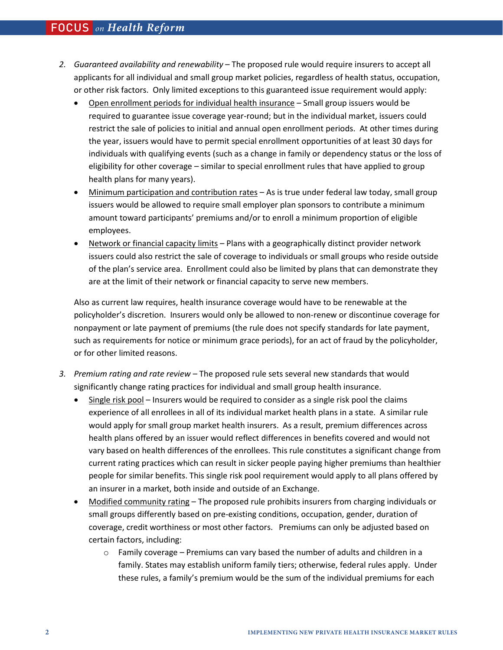- *2. Guaranteed availability and renewability* The proposed rule would require insurers to accept all applicants for all individual and small group market policies, regardless of health status, occupation, or other risk factors. Only limited exceptions to this guaranteed issue requirement would apply:
	- Open enrollment periods for individual health insurance Small group issuers would be required to guarantee issue coverage year-round; but in the individual market, issuers could restrict the sale of policies to initial and annual open enrollment periods. At other times during the year, issuers would have to permit special enrollment opportunities of at least 30 days for individuals with qualifying events (such as a change in family or dependency status or the loss of eligibility for other coverage – similar to special enrollment rules that have applied to group health plans for many years).
	- Minimum participation and contribution rates As is true under federal law today, small group issuers would be allowed to require small employer plan sponsors to contribute a minimum amount toward participants' premiums and/or to enroll a minimum proportion of eligible employees.
	- Network or financial capacity limits Plans with a geographically distinct provider network issuers could also restrict the sale of coverage to individuals or small groups who reside outside of the plan's service area. Enrollment could also be limited by plans that can demonstrate they are at the limit of their network or financial capacity to serve new members.

Also as current law requires, health insurance coverage would have to be renewable at the policyholder's discretion. Insurers would only be allowed to non-renew or discontinue coverage for nonpayment or late payment of premiums (the rule does not specify standards for late payment, such as requirements for notice or minimum grace periods), for an act of fraud by the policyholder, or for other limited reasons.

- *3. Premium rating and rate review –* The proposed rule sets several new standards that would significantly change rating practices for individual and small group health insurance.
	- Single risk pool Insurers would be required to consider as a single risk pool the claims experience of all enrollees in all of its individual market health plans in a state. A similar rule would apply for small group market health insurers. As a result, premium differences across health plans offered by an issuer would reflect differences in benefits covered and would not vary based on health differences of the enrollees. This rule constitutes a significant change from current rating practices which can result in sicker people paying higher premiums than healthier people for similar benefits. This single risk pool requirement would apply to all plans offered by an insurer in a market, both inside and outside of an Exchange.
	- Modified community rating The proposed rule prohibits insurers from charging individuals or small groups differently based on pre-existing conditions, occupation, gender, duration of coverage, credit worthiness or most other factors. Premiums can only be adjusted based on certain factors, including:
		- $\circ$  Family coverage Premiums can vary based the number of adults and children in a family. States may establish uniform family tiers; otherwise, federal rules apply. Under these rules, a family's premium would be the sum of the individual premiums for each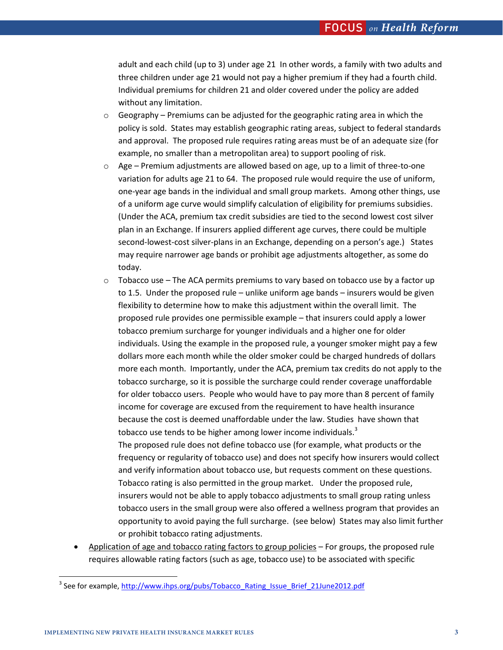adult and each child (up to 3) under age 21 In other words, a family with two adults and three children under age 21 would not pay a higher premium if they had a fourth child. Individual premiums for children 21 and older covered under the policy are added without any limitation.

- o Geography Premiums can be adjusted for the geographic rating area in which the policy is sold. States may establish geographic rating areas, subject to federal standards and approval. The proposed rule requires rating areas must be of an adequate size (for example, no smaller than a metropolitan area) to support pooling of risk.
- $\circ$  Age Premium adjustments are allowed based on age, up to a limit of three-to-one variation for adults age 21 to 64. The proposed rule would require the use of uniform, one-year age bands in the individual and small group markets. Among other things, use of a uniform age curve would simplify calculation of eligibility for premiums subsidies. (Under the ACA, premium tax credit subsidies are tied to the second lowest cost silver plan in an Exchange. If insurers applied different age curves, there could be multiple second-lowest-cost silver-plans in an Exchange, depending on a person's age.) States may require narrower age bands or prohibit age adjustments altogether, as some do today.
- $\circ$  Tobacco use The ACA permits premiums to vary based on tobacco use by a factor up to 1.5. Under the proposed rule – unlike uniform age bands – insurers would be given flexibility to determine how to make this adjustment within the overall limit. The proposed rule provides one permissible example – that insurers could apply a lower tobacco premium surcharge for younger individuals and a higher one for older individuals. Using the example in the proposed rule, a younger smoker might pay a few dollars more each month while the older smoker could be charged hundreds of dollars more each month. Importantly, under the ACA, premium tax credits do not apply to the tobacco surcharge, so it is possible the surcharge could render coverage unaffordable for older tobacco users. People who would have to pay more than 8 percent of family income for coverage are excused from the requirement to have health insurance because the cost is deemed unaffordable under the law. Studies have shown that tobacco use tends to be higher among lower income individuals.<sup>3</sup> The proposed rule does not define tobacco use (for example, what products or the frequency or regularity of tobacco use) and does not specify how insurers would collect and verify information about tobacco use, but requests comment on these questions. Tobacco rating is also permitted in the group market. Under the proposed rule, insurers would not be able to apply tobacco adjustments to small group rating unless tobacco users in the small group were also offered a wellness program that provides an opportunity to avoid paying the full surcharge. (see below) States may also limit further or prohibit tobacco rating adjustments.
- Application of age and tobacco rating factors to group policies For groups, the proposed rule requires allowable rating factors (such as age, tobacco use) to be associated with specific

<sup>&</sup>lt;sup>3</sup> See for example, http://www.ihps.org/pubs/Tobacco\_Rating\_Issue\_Brief\_21June2012.pdf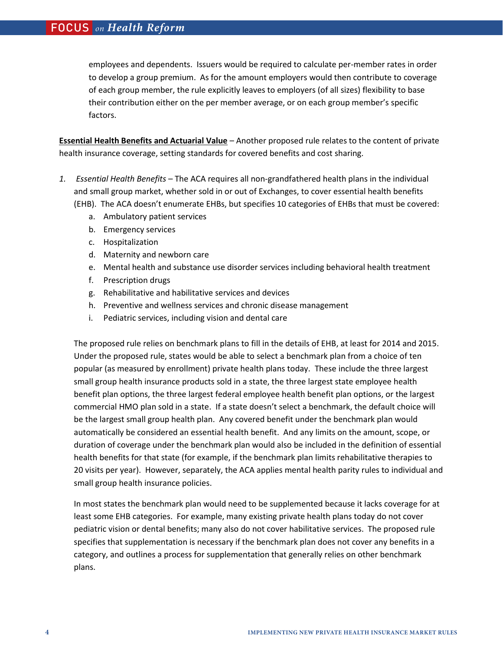employees and dependents. Issuers would be required to calculate per-member rates in order to develop a group premium. As for the amount employers would then contribute to coverage of each group member, the rule explicitly leaves to employers (of all sizes) flexibility to base their contribution either on the per member average, or on each group member's specific factors.

**Essential Health Benefits and Actuarial Value** – Another proposed rule relates to the content of private health insurance coverage, setting standards for covered benefits and cost sharing.

- *1. Essential Health Benefits* The ACA requires all non-grandfathered health plans in the individual and small group market, whether sold in or out of Exchanges, to cover essential health benefits (EHB). The ACA doesn't enumerate EHBs, but specifies 10 categories of EHBs that must be covered:
	- a. Ambulatory patient services
	- b. Emergency services
	- c. Hospitalization
	- d. Maternity and newborn care
	- e. Mental health and substance use disorder services including behavioral health treatment
	- f. Prescription drugs
	- g. Rehabilitative and habilitative services and devices
	- h. Preventive and wellness services and chronic disease management
	- i. Pediatric services, including vision and dental care

The proposed rule relies on benchmark plans to fill in the details of EHB, at least for 2014 and 2015. Under the proposed rule, states would be able to select a benchmark plan from a choice of ten popular (as measured by enrollment) private health plans today. These include the three largest small group health insurance products sold in a state, the three largest state employee health benefit plan options, the three largest federal employee health benefit plan options, or the largest commercial HMO plan sold in a state. If a state doesn't select a benchmark, the default choice will be the largest small group health plan. Any covered benefit under the benchmark plan would automatically be considered an essential health benefit. And any limits on the amount, scope, or duration of coverage under the benchmark plan would also be included in the definition of essential health benefits for that state (for example, if the benchmark plan limits rehabilitative therapies to 20 visits per year). However, separately, the ACA applies mental health parity rules to individual and small group health insurance policies.

In most states the benchmark plan would need to be supplemented because it lacks coverage for at least some EHB categories. For example, many existing private health plans today do not cover pediatric vision or dental benefits; many also do not cover habilitative services. The proposed rule specifies that supplementation is necessary if the benchmark plan does not cover any benefits in a category, and outlines a process for supplementation that generally relies on other benchmark plans.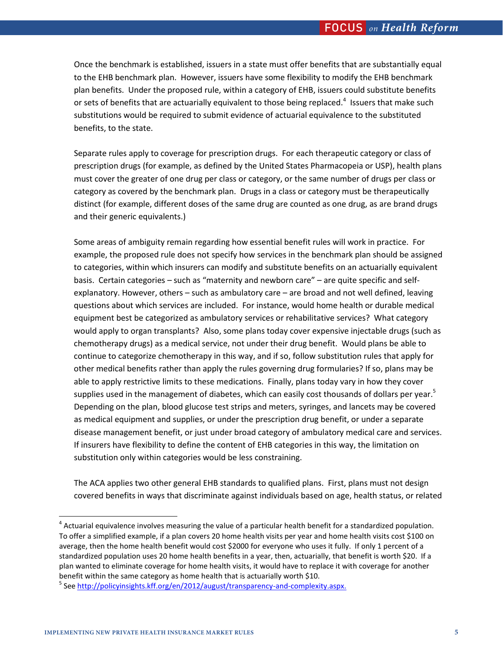Once the benchmark is established, issuers in a state must offer benefits that are substantially equal to the EHB benchmark plan. However, issuers have some flexibility to modify the EHB benchmark plan benefits. Under the proposed rule, within a category of EHB, issuers could substitute benefits or sets of benefits that are actuarially equivalent to those being replaced.<sup>4</sup> Issuers that make such substitutions would be required to submit evidence of actuarial equivalence to the substituted benefits, to the state.

Separate rules apply to coverage for prescription drugs. For each therapeutic category or class of prescription drugs (for example, as defined by the United States Pharmacopeia or USP), health plans must cover the greater of one drug per class or category, or the same number of drugs per class or category as covered by the benchmark plan. Drugs in a class or category must be therapeutically distinct (for example, different doses of the same drug are counted as one drug, as are brand drugs and their generic equivalents.)

Some areas of ambiguity remain regarding how essential benefit rules will work in practice. For example, the proposed rule does not specify how services in the benchmark plan should be assigned to categories, within which insurers can modify and substitute benefits on an actuarially equivalent basis. Certain categories – such as "maternity and newborn care" – are quite specific and selfexplanatory. However, others – such as ambulatory care – are broad and not well defined, leaving questions about which services are included. For instance, would home health or durable medical equipment best be categorized as ambulatory services or rehabilitative services? What category would apply to organ transplants? Also, some plans today cover expensive injectable drugs (such as chemotherapy drugs) as a medical service, not under their drug benefit. Would plans be able to continue to categorize chemotherapy in this way, and if so, follow substitution rules that apply for other medical benefits rather than apply the rules governing drug formularies? If so, plans may be able to apply restrictive limits to these medications. Finally, plans today vary in how they cover supplies used in the management of diabetes, which can easily cost thousands of dollars per year.<sup>5</sup> Depending on the plan, blood glucose test strips and meters, syringes, and lancets may be covered as medical equipment and supplies, or under the prescription drug benefit, or under a separate disease management benefit, or just under broad category of ambulatory medical care and services. If insurers have flexibility to define the content of EHB categories in this way, the limitation on substitution only within categories would be less constraining.

The ACA applies two other general EHB standards to qualified plans. First, plans must not design covered benefits in ways that discriminate against individuals based on age, health status, or related

 $4$  Actuarial equivalence involves measuring the value of a particular health benefit for a standardized population. To offer a simplified example, if a plan covers 20 home health visits per year and home health visits cost \$100 on average, then the home health benefit would cost \$2000 for everyone who uses it fully. If only 1 percent of a standardized population uses 20 home health benefits in a year, then, actuarially, that benefit is worth \$20. If a plan wanted to eliminate coverage for home health visits, it would have to replace it with coverage for another benefit within the same category as home health that is actuarially worth \$10.

<sup>&</sup>lt;sup>5</sup> See http://policvinsights.kff.org/en/2012/august/transparency-and-complexity.aspx.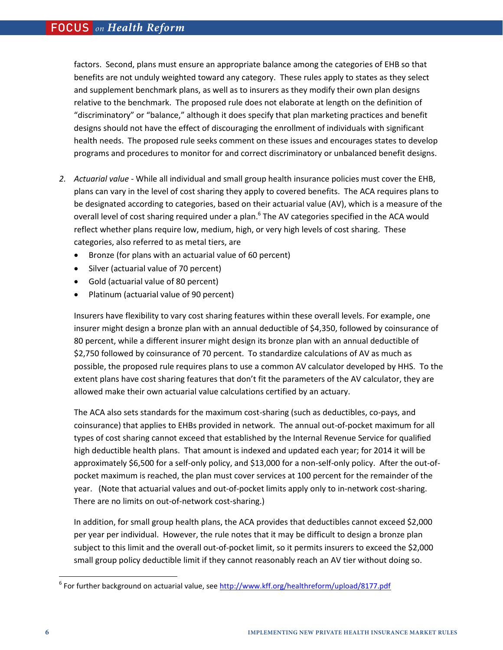factors. Second, plans must ensure an appropriate balance among the categories of EHB so that benefits are not unduly weighted toward any category. These rules apply to states as they select and supplement benchmark plans, as well as to insurers as they modify their own plan designs relative to the benchmark. The proposed rule does not elaborate at length on the definition of "discriminatory" or "balance," although it does specify that plan marketing practices and benefit designs should not have the effect of discouraging the enrollment of individuals with significant health needs. The proposed rule seeks comment on these issues and encourages states to develop programs and procedures to monitor for and correct discriminatory or unbalanced benefit designs.

- *2. Actuarial value -* While all individual and small group health insurance policies must cover the EHB, plans can vary in the level of cost sharing they apply to covered benefits. The ACA requires plans to be designated according to categories, based on their actuarial value (AV), which is a measure of the overall level of cost sharing required under a plan.<sup>6</sup> The AV categories specified in the ACA would reflect whether plans require low, medium, high, or very high levels of cost sharing. These categories, also referred to as metal tiers, are
	- Bronze (for plans with an actuarial value of 60 percent)
	- Silver (actuarial value of 70 percent)
	- Gold (actuarial value of 80 percent)
	- Platinum (actuarial value of 90 percent)

Insurers have flexibility to vary cost sharing features within these overall levels. For example, one insurer might design a bronze plan with an annual deductible of \$4,350, followed by coinsurance of 80 percent, while a different insurer might design its bronze plan with an annual deductible of \$2,750 followed by coinsurance of 70 percent. To standardize calculations of AV as much as possible, the proposed rule requires plans to use a common AV calculator developed by HHS. To the extent plans have cost sharing features that don't fit the parameters of the AV calculator, they are allowed make their own actuarial value calculations certified by an actuary.

The ACA also sets standards for the maximum cost-sharing (such as deductibles, co-pays, and coinsurance) that applies to EHBs provided in network. The annual out-of-pocket maximum for all types of cost sharing cannot exceed that established by the Internal Revenue Service for qualified high deductible health plans. That amount is indexed and updated each year; for 2014 it will be approximately \$6,500 for a self-only policy, and \$13,000 for a non-self-only policy. After the out-ofpocket maximum is reached, the plan must cover services at 100 percent for the remainder of the year. (Note that actuarial values and out-of-pocket limits apply only to in-network cost-sharing. There are no limits on out-of-network cost-sharing.)

In addition, for small group health plans, the ACA provides that deductibles cannot exceed \$2,000 per year per individual. However, the rule notes that it may be difficult to design a bronze plan subject to this limit and the overall out-of-pocket limit, so it permits insurers to exceed the \$2,000 small group policy deductible limit if they cannot reasonably reach an AV tier without doing so.

 <sup>6</sup> For further background on actuarial value, see http://www.kff.org/healthreform/upload/8177.pdf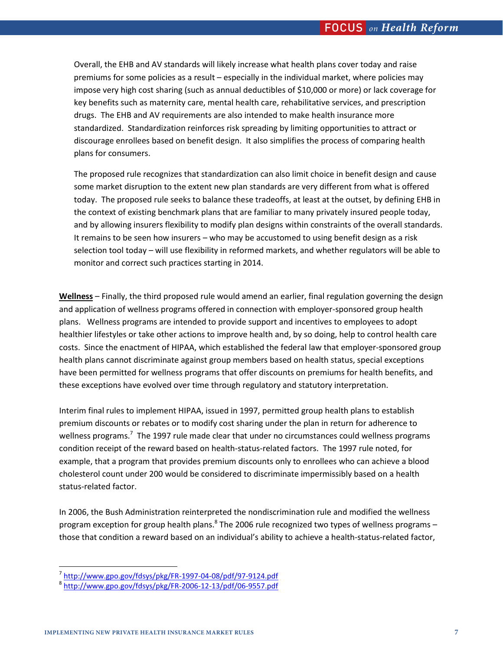Overall, the EHB and AV standards will likely increase what health plans cover today and raise premiums for some policies as a result – especially in the individual market, where policies may impose very high cost sharing (such as annual deductibles of \$10,000 or more) or lack coverage for key benefits such as maternity care, mental health care, rehabilitative services, and prescription drugs. The EHB and AV requirements are also intended to make health insurance more standardized. Standardization reinforces risk spreading by limiting opportunities to attract or discourage enrollees based on benefit design. It also simplifies the process of comparing health plans for consumers.

The proposed rule recognizes that standardization can also limit choice in benefit design and cause some market disruption to the extent new plan standards are very different from what is offered today. The proposed rule seeks to balance these tradeoffs, at least at the outset, by defining EHB in the context of existing benchmark plans that are familiar to many privately insured people today, and by allowing insurers flexibility to modify plan designs within constraints of the overall standards. It remains to be seen how insurers – who may be accustomed to using benefit design as a risk selection tool today – will use flexibility in reformed markets, and whether regulators will be able to monitor and correct such practices starting in 2014.

**Wellness** – Finally, the third proposed rule would amend an earlier, final regulation governing the design and application of wellness programs offered in connection with employer-sponsored group health plans. Wellness programs are intended to provide support and incentives to employees to adopt healthier lifestyles or take other actions to improve health and, by so doing, help to control health care costs. Since the enactment of HIPAA, which established the federal law that employer-sponsored group health plans cannot discriminate against group members based on health status, special exceptions have been permitted for wellness programs that offer discounts on premiums for health benefits, and these exceptions have evolved over time through regulatory and statutory interpretation.

Interim final rules to implement HIPAA, issued in 1997, permitted group health plans to establish premium discounts or rebates or to modify cost sharing under the plan in return for adherence to wellness programs.<sup>7</sup> The 1997 rule made clear that under no circumstances could wellness programs condition receipt of the reward based on health-status-related factors. The 1997 rule noted, for example, that a program that provides premium discounts only to enrollees who can achieve a blood cholesterol count under 200 would be considered to discriminate impermissibly based on a health status-related factor.

In 2006, the Bush Administration reinterpreted the nondiscrimination rule and modified the wellness program exception for group health plans.<sup>8</sup> The 2006 rule recognized two types of wellness programs – those that condition a reward based on an individual's ability to achieve a health-status-related factor,

<sup>7</sup> http://www.gpo.gov/fdsys/pkg/FR-1997-04-08/pdf/97-9124.pdf<br><sup>8</sup> http://www.gpo.gov/fdsys/pkg/FR-2006-12-13/pdf/06-9557.pdf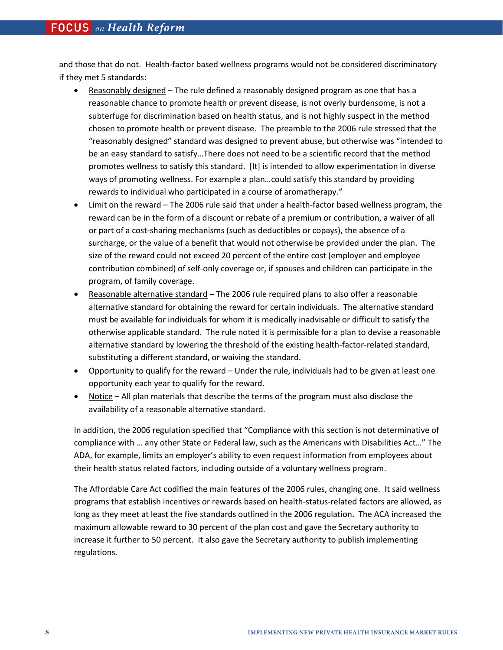and those that do not. Health-factor based wellness programs would not be considered discriminatory if they met 5 standards:

- Reasonably designed The rule defined a reasonably designed program as one that has a reasonable chance to promote health or prevent disease, is not overly burdensome, is not a subterfuge for discrimination based on health status, and is not highly suspect in the method chosen to promote health or prevent disease. The preamble to the 2006 rule stressed that the "reasonably designed" standard was designed to prevent abuse, but otherwise was "intended to be an easy standard to satisfy…There does not need to be a scientific record that the method promotes wellness to satisfy this standard. [It] is intended to allow experimentation in diverse ways of promoting wellness. For example a plan…could satisfy this standard by providing rewards to individual who participated in a course of aromatherapy."
- Limit on the reward The 2006 rule said that under a health-factor based wellness program, the reward can be in the form of a discount or rebate of a premium or contribution, a waiver of all or part of a cost-sharing mechanisms (such as deductibles or copays), the absence of a surcharge, or the value of a benefit that would not otherwise be provided under the plan. The size of the reward could not exceed 20 percent of the entire cost (employer and employee contribution combined) of self-only coverage or, if spouses and children can participate in the program, of family coverage.
- Reasonable alternative standard The 2006 rule required plans to also offer a reasonable alternative standard for obtaining the reward for certain individuals. The alternative standard must be available for individuals for whom it is medically inadvisable or difficult to satisfy the otherwise applicable standard. The rule noted it is permissible for a plan to devise a reasonable alternative standard by lowering the threshold of the existing health-factor-related standard, substituting a different standard, or waiving the standard.
- Opportunity to qualify for the reward Under the rule, individuals had to be given at least one opportunity each year to qualify for the reward.
- Notice All plan materials that describe the terms of the program must also disclose the availability of a reasonable alternative standard.

In addition, the 2006 regulation specified that "Compliance with this section is not determinative of compliance with … any other State or Federal law, such as the Americans with Disabilities Act…" The ADA, for example, limits an employer's ability to even request information from employees about their health status related factors, including outside of a voluntary wellness program.

The Affordable Care Act codified the main features of the 2006 rules, changing one. It said wellness programs that establish incentives or rewards based on health-status-related factors are allowed, as long as they meet at least the five standards outlined in the 2006 regulation. The ACA increased the maximum allowable reward to 30 percent of the plan cost and gave the Secretary authority to increase it further to 50 percent. It also gave the Secretary authority to publish implementing regulations.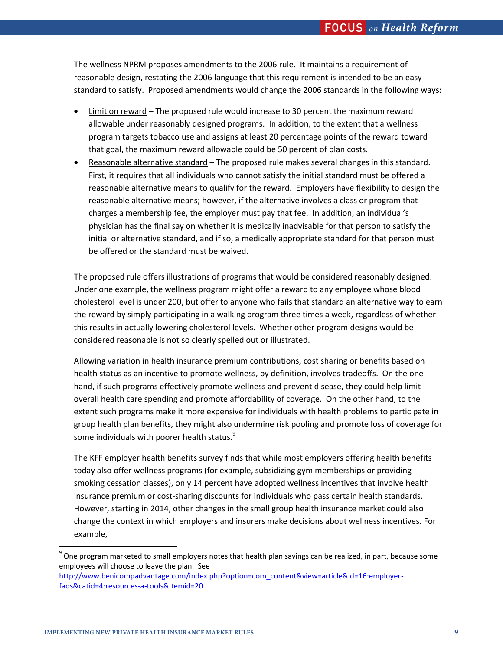The wellness NPRM proposes amendments to the 2006 rule. It maintains a requirement of reasonable design, restating the 2006 language that this requirement is intended to be an easy standard to satisfy. Proposed amendments would change the 2006 standards in the following ways:

- Limit on reward The proposed rule would increase to 30 percent the maximum reward allowable under reasonably designed programs. In addition, to the extent that a wellness program targets tobacco use and assigns at least 20 percentage points of the reward toward that goal, the maximum reward allowable could be 50 percent of plan costs.
- Reasonable alternative standard The proposed rule makes several changes in this standard. First, it requires that all individuals who cannot satisfy the initial standard must be offered a reasonable alternative means to qualify for the reward. Employers have flexibility to design the reasonable alternative means; however, if the alternative involves a class or program that charges a membership fee, the employer must pay that fee. In addition, an individual's physician has the final say on whether it is medically inadvisable for that person to satisfy the initial or alternative standard, and if so, a medically appropriate standard for that person must be offered or the standard must be waived.

The proposed rule offers illustrations of programs that would be considered reasonably designed. Under one example, the wellness program might offer a reward to any employee whose blood cholesterol level is under 200, but offer to anyone who fails that standard an alternative way to earn the reward by simply participating in a walking program three times a week, regardless of whether this results in actually lowering cholesterol levels. Whether other program designs would be considered reasonable is not so clearly spelled out or illustrated.

Allowing variation in health insurance premium contributions, cost sharing or benefits based on health status as an incentive to promote wellness, by definition, involves tradeoffs. On the one hand, if such programs effectively promote wellness and prevent disease, they could help limit overall health care spending and promote affordability of coverage. On the other hand, to the extent such programs make it more expensive for individuals with health problems to participate in group health plan benefits, they might also undermine risk pooling and promote loss of coverage for some individuals with poorer health status. $^{9}$ 

The KFF employer health benefits survey finds that while most employers offering health benefits today also offer wellness programs (for example, subsidizing gym memberships or providing smoking cessation classes), only 14 percent have adopted wellness incentives that involve health insurance premium or cost-sharing discounts for individuals who pass certain health standards. However, starting in 2014, other changes in the small group health insurance market could also change the context in which employers and insurers make decisions about wellness incentives. For example,

<sup>&</sup>lt;sup>9</sup> One program marketed to small employers notes that health plan savings can be realized, in part, because some employees will choose to leave the plan. See

http://www.benicompadvantage.com/index.php?option=com\_content&view=article&id=16:employerfaqs&catid=4:resources-a-tools&Itemid=20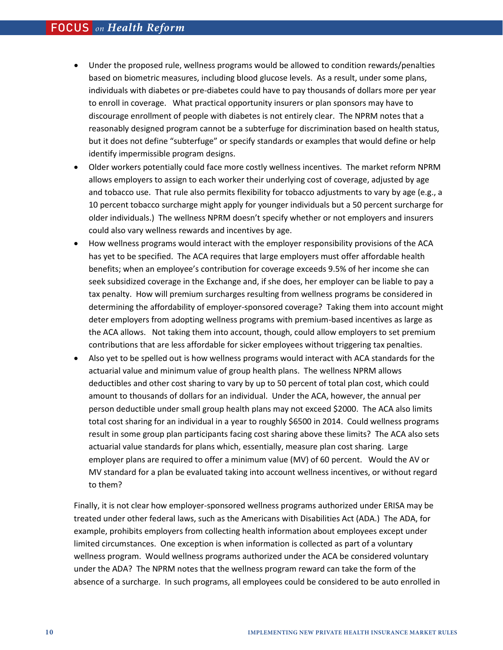- Under the proposed rule, wellness programs would be allowed to condition rewards/penalties based on biometric measures, including blood glucose levels. As a result, under some plans, individuals with diabetes or pre-diabetes could have to pay thousands of dollars more per year to enroll in coverage. What practical opportunity insurers or plan sponsors may have to discourage enrollment of people with diabetes is not entirely clear. The NPRM notes that a reasonably designed program cannot be a subterfuge for discrimination based on health status, but it does not define "subterfuge" or specify standards or examples that would define or help identify impermissible program designs.
- Older workers potentially could face more costly wellness incentives. The market reform NPRM allows employers to assign to each worker their underlying cost of coverage, adjusted by age and tobacco use. That rule also permits flexibility for tobacco adjustments to vary by age (e.g., a 10 percent tobacco surcharge might apply for younger individuals but a 50 percent surcharge for older individuals.) The wellness NPRM doesn't specify whether or not employers and insurers could also vary wellness rewards and incentives by age.
- How wellness programs would interact with the employer responsibility provisions of the ACA has yet to be specified. The ACA requires that large employers must offer affordable health benefits; when an employee's contribution for coverage exceeds 9.5% of her income she can seek subsidized coverage in the Exchange and, if she does, her employer can be liable to pay a tax penalty. How will premium surcharges resulting from wellness programs be considered in determining the affordability of employer-sponsored coverage? Taking them into account might deter employers from adopting wellness programs with premium-based incentives as large as the ACA allows. Not taking them into account, though, could allow employers to set premium contributions that are less affordable for sicker employees without triggering tax penalties.
- Also yet to be spelled out is how wellness programs would interact with ACA standards for the actuarial value and minimum value of group health plans. The wellness NPRM allows deductibles and other cost sharing to vary by up to 50 percent of total plan cost, which could amount to thousands of dollars for an individual. Under the ACA, however, the annual per person deductible under small group health plans may not exceed \$2000. The ACA also limits total cost sharing for an individual in a year to roughly \$6500 in 2014. Could wellness programs result in some group plan participants facing cost sharing above these limits? The ACA also sets actuarial value standards for plans which, essentially, measure plan cost sharing. Large employer plans are required to offer a minimum value (MV) of 60 percent. Would the AV or MV standard for a plan be evaluated taking into account wellness incentives, or without regard to them?

Finally, it is not clear how employer-sponsored wellness programs authorized under ERISA may be treated under other federal laws, such as the Americans with Disabilities Act (ADA.) The ADA, for example, prohibits employers from collecting health information about employees except under limited circumstances. One exception is when information is collected as part of a voluntary wellness program. Would wellness programs authorized under the ACA be considered voluntary under the ADA? The NPRM notes that the wellness program reward can take the form of the absence of a surcharge. In such programs, all employees could be considered to be auto enrolled in